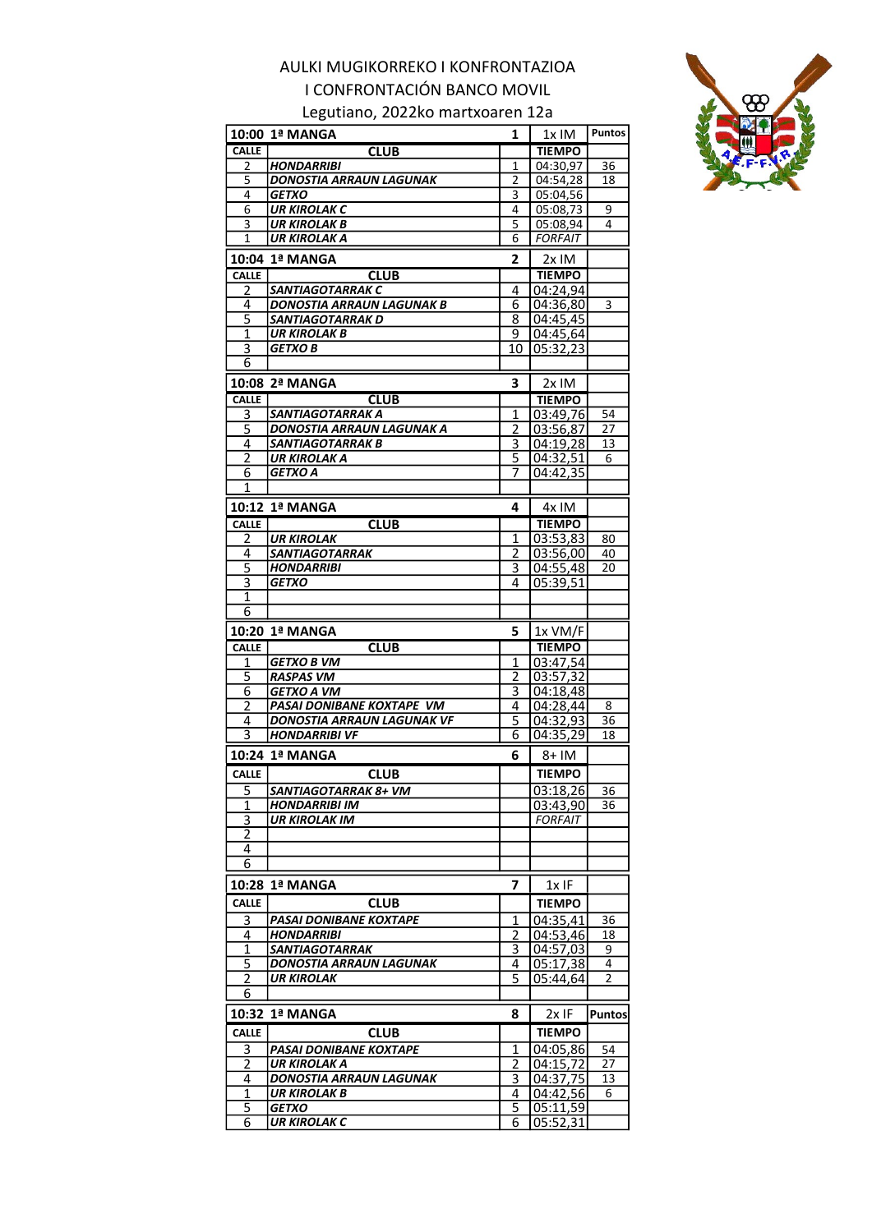Legutiano, 2022ko martxoaren 12a



|                     | 10:00 1ª MANGA                 | 1      | 1x IM                 | Puntos        |
|---------------------|--------------------------------|--------|-----------------------|---------------|
| <b>CALLE</b>        | <b>CLUB</b>                    |        | <b>TIEMPO</b>         |               |
| 2                   | <b>HONDARRIBI</b>              | 1      | 04:30,97              | 36            |
| 5                   | DONOSTIA ARRAUN LAGUNAK        | 2      | $\overline{04:}54,28$ | 18            |
| 4                   | <b>GETXO</b>                   | 3      | 05:04,56              |               |
| 6                   | <b>UR KIROLAK C</b>            | 4      | 05:08,73              | 9             |
| 3                   | UR KIROLAK B                   | 5      | 05:08,94              | 4             |
| $\mathbf{1}$        | UR KIROLAK A                   | 6      | <b>FORFAIT</b>        |               |
|                     | 10:04 1ª MANGA                 | 2      | 2x IM                 |               |
| <b>CALLE</b>        | <b>CLUB</b>                    |        | <b>TIEMPO</b>         |               |
| 2                   | <b>SANTIAGOTARRAK C</b>        | 4      | 04:24.94              |               |
| 4                   | DONOSTIA ARRAUN LAGUNAK B      | 6      | 04:36,80              | 3             |
| $\overline{5}$      | SANTIAGOTARRAK D               | 8      | 04:45,45              |               |
| 1                   | <b>UR KIROLAK B</b>            | 9      | 04:45.64              |               |
| 3                   | GETXO B                        | 10     | 05:32,23              |               |
| 6                   |                                |        |                       |               |
|                     |                                |        |                       |               |
|                     | 10:08 2ª MANGA                 | 3      | 2x IM                 |               |
| <b>CALLE</b>        | <b>CLUB</b>                    |        | <b>TIEMPO</b>         |               |
| 3                   | <b>SANTIAGOTARRAK A</b>        | 1      | 03:49,76              | 54            |
| 5                   | DONOSTIA ARRAUN LAGUNAK A      | 2      | 03:56,87              | 27            |
| 4                   | SANTIAGOTARRAK B               | 3      | 04:19,28              | 13            |
| $\overline{2}$      | UR KIROLAK A                   | 5      | 04:32,51              | 6             |
| 6                   | <b>GETXO A</b>                 | 7      | 04:42,35              |               |
| 1                   |                                |        |                       |               |
|                     | 10:12 1ª MANGA                 | 4      | 4x IM                 |               |
| <b>CALLE</b>        | <b>CLUB</b>                    |        | <b>TIEMPO</b>         |               |
| 2                   | <b>UR KIROLAK</b>              | 1      | 03:53,83              | 80            |
| 4                   | SANTIAGOTARRAK                 | 2      | 03:56,00              | 40            |
| $\overline{5}$      | <b>HONDARRIBI</b>              | 3      | 04:55,48              | 20            |
| 3                   | <b>GETXO</b>                   | 4      | 05:39,51              |               |
| 1                   |                                |        |                       |               |
| 6                   |                                |        |                       |               |
|                     | 10:20 1ª MANGA                 | 5      | $1x$ VM/F             |               |
|                     |                                |        |                       |               |
|                     |                                |        |                       |               |
| <b>CALLE</b>        | <b>CLUB</b>                    |        | <b>TIEMPO</b>         |               |
| $\mathbf{1}$        | <b>GETXO B VM</b>              | 1      | 03:47,54              |               |
| $\overline{5}$      | <b>RASPAS VM</b>               | 2      | 03:57,32              |               |
| 6                   | <b>GETXO A VM</b>              | 3      | 04:18,48              |               |
| $\overline{2}$      | PASAI DONIBANE KOXTAPE VM      | 4      | 04:28,44              | 8             |
| 4                   | DONOSTIA ARRAUN LAGUNAK VF     | 5      | 04:32,93              | 36            |
| 3                   | <b>HONDARRIBI VF</b>           | 6      | 04:35,29              | 18            |
|                     | 10:24 1ª MANGA                 | 6      | 8+ IM                 |               |
| <b>CALLE</b>        | <b>CLUB</b>                    |        | <b>TIEMPO</b>         |               |
|                     | SANTIAGOTARRAK 8+ VM           |        |                       | 36            |
| $\overline{5}$<br>1 | <b>HONDARRIBI IM</b>           |        | 03:18,26<br>03:43,90  | 36            |
| 3                   | <b>UR KIROLAK IM</b>           |        | <b>FORFAIT</b>        |               |
| $\overline{2}$      |                                |        |                       |               |
| 4                   |                                |        |                       |               |
| 6                   |                                |        |                       |               |
|                     |                                |        |                       |               |
|                     | 10:28  1ª MANGA                | 7      | 1x IF                 |               |
| <b>CALLE</b>        | <b>CLUB</b>                    |        | <b>TIEMPO</b>         |               |
| 3                   | <b>PASAI DONIBANE KOXTAPE</b>  | 1      | 04:35,41              | 36            |
| 4                   | HONDARRIBI                     | 2      | 04:53,46              | 18            |
| 1                   | <b>SANTIAGOTARRAK</b>          | 3      | 04:57,03              | 9             |
| 5                   | <b>DONOSTIA ARRAUN LAGUNAK</b> | 4      | 05:17,38              | 4             |
| 2                   | UR KIROLAK                     | 5      | 05:44,64              | 2             |
| 6                   |                                |        |                       |               |
|                     | 10:32 1ª MANGA                 | 8      |                       |               |
|                     |                                |        | 2x IF                 |               |
| <b>CALLE</b>        | <b>CLUB</b>                    |        | <b>TIEMPO</b>         | <b>Puntos</b> |
| 3                   | <b>PASAI DONIBANE KOXTAPE</b>  | 1      | 04:05,86              | 54            |
| 2                   | UR KIROLAK A                   | 2      | 04:15,72              | 27            |
| 4                   | DONOSTIA ARRAUN LAGUNAK        | 3      | 04:37,75              | 13            |
| 1                   | <b>UR KIROLAK B</b>            | 4      | 04:42,56              | 6             |
| $\overline{5}$<br>6 | <b>GETXO</b><br>UR KIROLAK C   | 5<br>6 | 05:11,59<br>05:52,31  |               |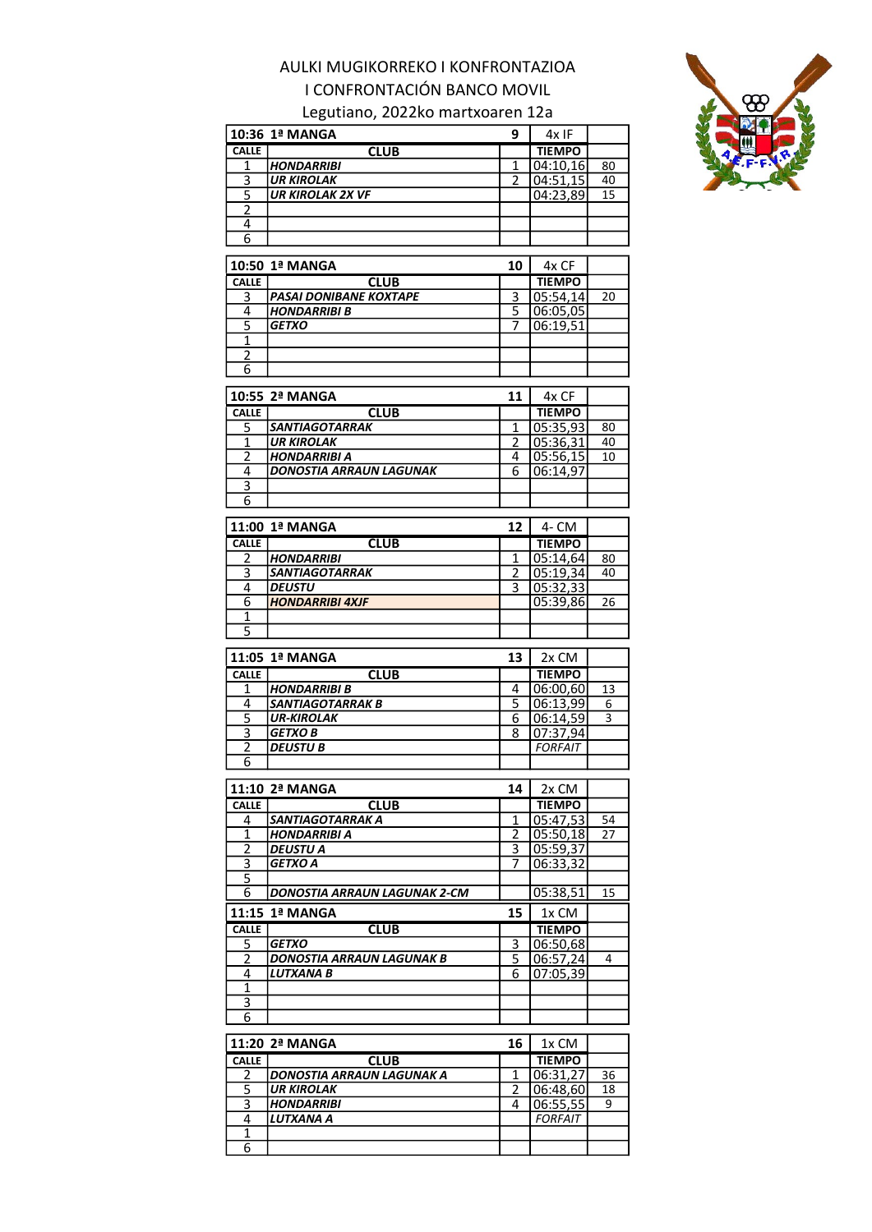### Legutiano, 2022ko martxoaren 12a

10:36 1ª MANGA 9 4x IF



| <b>CALLE</b>                                | <b>CLUB</b>                                  |                     | <b>TIEMPO</b>              |    |
|---------------------------------------------|----------------------------------------------|---------------------|----------------------------|----|
| 1                                           | <b>HONDARRIBI</b>                            | 1                   | 04:10,16                   | 80 |
| 3                                           | <b>UR KIROLAK</b>                            | 2                   | 04:51,15                   | 40 |
| $\overline{5}$                              | <b>UR KIROLAK 2X VF</b>                      |                     | 04:23,89                   | 15 |
| $\overline{c}$                              |                                              |                     |                            |    |
| 4                                           |                                              |                     |                            |    |
| 6                                           |                                              |                     |                            |    |
|                                             |                                              |                     |                            |    |
|                                             | 10:50 1ª MANGA                               | 10                  | 4x CF                      |    |
| <b>CALLE</b>                                | <b>CLUB</b>                                  |                     | <b>TIEMPO</b>              |    |
| 3                                           | PASAI DONIBANE KOXTAPE                       | 3                   | 05:54,14                   | 20 |
| 4                                           | <b>HONDARRIBI B</b>                          | 5                   | 06:05,05                   |    |
| $\overline{5}$                              | <b>GETXO</b>                                 | 7                   | 06:19,51                   |    |
| $\overline{1}$                              |                                              |                     |                            |    |
| 2                                           |                                              |                     |                            |    |
| 6                                           |                                              |                     |                            |    |
|                                             |                                              |                     |                            |    |
|                                             | 10:55 2ª MANGA                               | 11                  | 4x CF                      |    |
| <b>CALLE</b>                                | <b>CLUB</b>                                  |                     | <b>TIEMPO</b>              |    |
| 5                                           | <b>SANTIAGOTARRAK</b>                        | 1                   | 05:35,93                   | 80 |
| 1                                           | <b>UR KIROLAK</b>                            | 2                   | 05:36,31                   | 40 |
| $\overline{2}$                              | <b>HONDARRIBI A</b>                          | 4                   | 05:56,15                   | 10 |
| 4                                           | <b>DONOSTIA ARRAUN LAGUNAK</b>               | 6                   | 06:14,97                   |    |
| $\overline{\overline{3}}$                   |                                              |                     |                            |    |
| 6                                           |                                              |                     |                            |    |
|                                             |                                              |                     |                            |    |
|                                             | 11:00 1ª MANGA                               | 12                  | 4- CM                      |    |
| <b>CALLE</b>                                | <b>CLUB</b>                                  |                     | <b>TIEMPO</b>              |    |
| 2                                           | <b>HONDARRIBI</b>                            | 1                   | 05:14,64                   | 80 |
| $\overline{3}$                              | SANTIAGOTARRAK                               | $\overline{2}$      | 05:19,34                   | 40 |
| 4                                           | <b>DEUSTU</b>                                | 3                   | 05:32,33                   |    |
| 6                                           | <b>HONDARRIBI 4XJF</b>                       |                     | 05:39,86                   | 26 |
| 1                                           |                                              |                     |                            |    |
| $\overline{5}$                              |                                              |                     |                            |    |
|                                             |                                              |                     |                            |    |
|                                             | 11:05 1ª MANGA                               | 13                  | 2x CM                      |    |
| <b>CALLE</b>                                | <b>CLUB</b>                                  |                     | <b>TIEMPO</b>              |    |
| 1                                           | <b>HONDARRIBI B</b>                          | 4                   | 06:00,60                   | 13 |
| 4                                           |                                              |                     | 06:13,99                   |    |
|                                             |                                              |                     |                            | 6  |
|                                             | <b>SANTIAGOTARRAK B</b><br><b>UR-KIROLAK</b> | $\overline{5}$<br>6 |                            | 3  |
| $\overline{5}$                              |                                              | 8                   | 06:14,59                   |    |
| $\overline{\mathbf{3}}$                     | <b>GETXO B</b><br><b>DEUSTU B</b>            |                     | 07:37,94<br><b>FORFAIT</b> |    |
| $\overline{2}$<br>6                         |                                              |                     |                            |    |
|                                             |                                              |                     |                            |    |
|                                             | 11:10 2ª MANGA                               | 14                  | 2x CM                      |    |
| CALLE                                       | <b>CLUB</b>                                  |                     | TIEMPO                     |    |
| 4                                           | SANTIAGOTARRAK A                             | 1                   | 05:47,53                   | 54 |
| 1                                           | HONDARRIBI A                                 | 2                   | 05:50,18                   | 27 |
|                                             | DEUSTU A                                     | З                   |                            |    |
| $\overline{2}$<br>$\overline{\overline{3}}$ | <b>GETXO A</b>                               | 7                   | 05:59,37<br>06:33,32       |    |
| 5                                           |                                              |                     |                            |    |
| 6                                           | DONOSTIA ARRAUN LAGUNAK 2-CM                 |                     | 05:38,51                   | 15 |
|                                             |                                              |                     |                            |    |
|                                             | 11:15 1ª MANGA                               | 15                  | 1x CM                      |    |
| <b>CALLE</b>                                | <b>CLUB</b>                                  |                     | <b>TIEMPO</b>              |    |
| 5                                           | <b>GETXO</b>                                 | 3                   | 06:50,68                   |    |
| $\overline{2}$                              | <b>DONOSTIA ARRAUN LAGUNAK B</b>             | 5                   | 06:57,24                   | 4  |
| 4                                           | <b>LUTXANA B</b>                             | 6                   | 07:05,39                   |    |
| 1                                           |                                              |                     |                            |    |
| 3                                           |                                              |                     |                            |    |
| 6                                           |                                              |                     |                            |    |

|              | 11:20 2ª MANGA                    | 16 | 1x CM          |    |
|--------------|-----------------------------------|----|----------------|----|
| <b>CALLE</b> | <b>CLUB</b>                       |    | <b>TIEMPO</b>  |    |
|              | <b>IDONOSTIA ARRAUN LAGUNAK A</b> |    | 06:31.27       | 36 |
|              | <b>UR KIROLAK</b>                 |    | 106:48.60      | 18 |
|              | <i><b>HONDARRIBI</b></i>          |    | 06:55,55       |    |
|              | <b>LUTXANA A</b>                  |    | <b>FORFAIT</b> |    |
|              |                                   |    |                |    |
|              |                                   |    |                |    |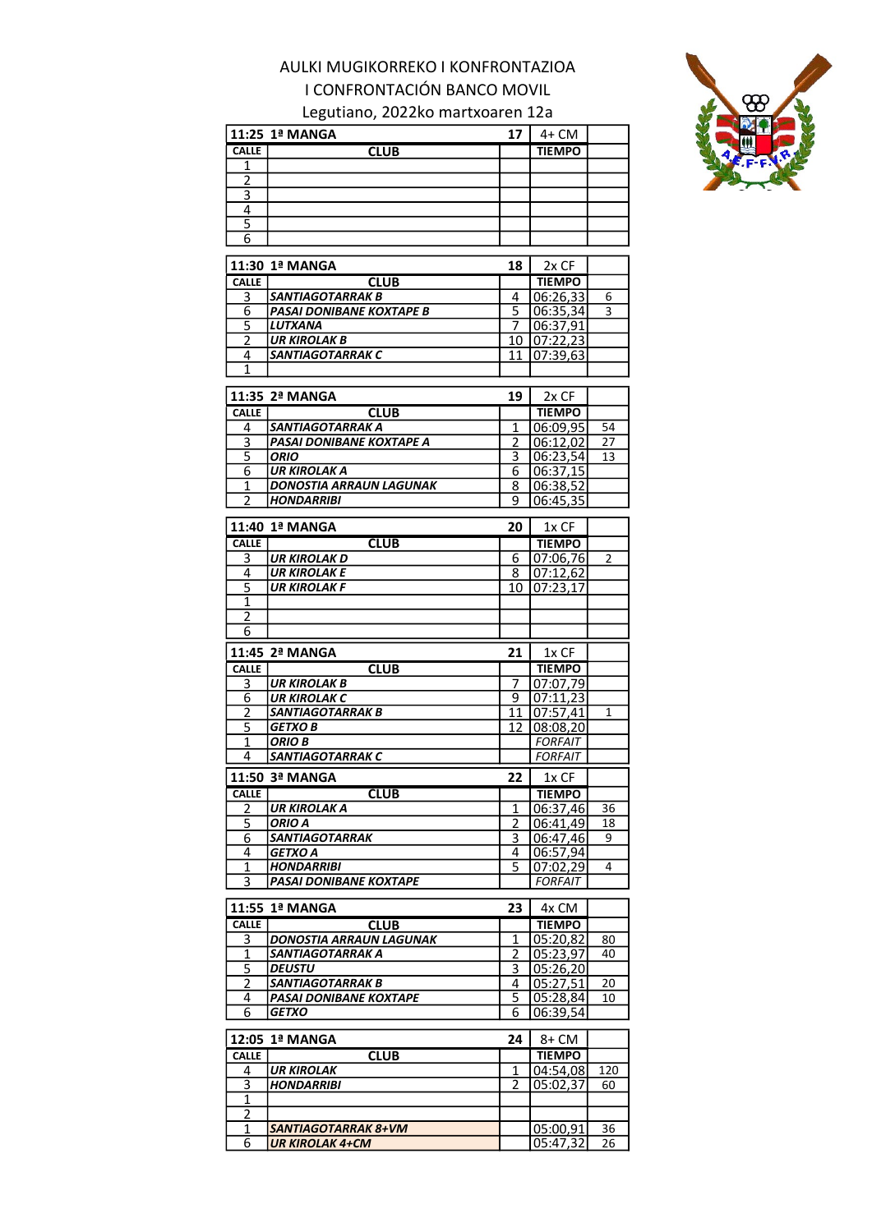### Legutiano, 2022ko martxoaren 12a



|                         | 11:25 1ª MANGA                             | 17                 | 4+ CM                     |     |
|-------------------------|--------------------------------------------|--------------------|---------------------------|-----|
| <b>CALLE</b>            | <b>CLUB</b>                                |                    | <b>TIEMPO</b>             |     |
| $\mathbf{1}$            |                                            |                    |                           |     |
| $\overline{2}$          |                                            |                    |                           |     |
| $\overline{\mathbf{3}}$ |                                            |                    |                           |     |
| $\overline{4}$          |                                            |                    |                           |     |
| $\overline{5}$          |                                            |                    |                           |     |
| 6                       |                                            |                    |                           |     |
|                         | 11:30 1ª MANGA                             | 18                 | 2x CF                     |     |
| <b>CALLE</b>            | CLUB                                       |                    | <b>TIEMPO</b>             |     |
| <u>3</u>                | SANTIAGOTARRAK B                           | 4                  | 06:26,33                  | 6   |
| 6                       | PASAI DONIBANE KOXTAPE B                   | 5                  | 06:35,34                  | 3   |
| $\overline{5}$          | LUTXANA                                    | 7                  | 06:37,91                  |     |
| $\overline{2}$          | <b>UR KIROLAK B</b>                        | 10                 | 07:22,23                  |     |
| 4                       | SANTIAGOTARRAK C                           | 11                 | 07:39,63                  |     |
| 1                       |                                            |                    |                           |     |
|                         | 11:35 2ª MANGA                             | 19                 |                           |     |
| <b>CALLE</b>            |                                            |                    | 2x CF                     |     |
| 4                       | <b>CLUB</b><br>SANTIAGOTARRAK A            | 1                  | <b>TIEMPO</b><br>06:09,95 | 54  |
| 3                       | PASAI DONIBANE KOXTAPE A                   | 2                  | 06:12,02                  | 27  |
| 5                       | <b>ORIO</b>                                | 3                  | 06:23,54                  | 13  |
| 6                       | UR KIROLAK A                               | 6                  | 06:37,15                  |     |
| 1                       | <b>DONOSTIA ARRAUN LAGUNAK</b>             | 8                  | 06:38,52                  |     |
| 2                       | <b>HONDARRIBI</b>                          | ٩                  | 06:45,35                  |     |
|                         |                                            |                    |                           |     |
|                         | 11:40 1ª MANGA                             | 20                 | $1x$ CF                   |     |
| <b>CALLE</b>            | <b>CLUB</b>                                |                    | <b>TIEMPO</b>             |     |
| 3                       | <b>UR KIROLAK D</b>                        | 6                  | 07:06,76                  | 2   |
| 4<br>$\overline{5}$     | <b>UR KIROLAK E</b><br>UR KIROLAK F        | 8<br>10            | 07:12,62                  |     |
| $\mathbf{1}$            |                                            |                    | 07:23,17                  |     |
| $\overline{2}$          |                                            |                    |                           |     |
| 6                       |                                            |                    |                           |     |
|                         |                                            |                    |                           |     |
|                         |                                            |                    |                           |     |
|                         | 11:45 2ª MANGA                             | 21                 | 1x CF                     |     |
| <b>CALLE</b>            | <b>CLUB</b>                                |                    | <b>TIEMPO</b>             |     |
| 3<br>6                  | <b>UR KIROLAK B</b><br><b>UR KIROLAK C</b> | 7<br>9             | 07:07,79                  |     |
| 2                       | SANTIAGOTARRAK B                           | 11                 | 07:11,23                  | 1   |
| 5                       | <b>GETXO B</b>                             | 12                 | 07:57,41<br>08:08,20      |     |
| $\mathbf{1}$            | <b>ORIO B</b>                              |                    | <b>FORFAIT</b>            |     |
| 4                       | <b>SANTIAGOTARRAK C</b>                    |                    | <b>FORFAIT</b>            |     |
|                         |                                            | 22                 |                           |     |
| <b>CALLE</b>            | 11:50 3ª MANGA                             |                    | 1x CF<br><b>TIEMPO</b>    |     |
| 2                       | <b>CLUB</b><br>UR KIROLAK A                | 1                  | 06:37,46                  | 36  |
| 5                       | ORIO A                                     | 2                  | 06:41.49                  | 18  |
| 6                       | SANTIAGOTARRAK                             | 3                  | 06:47,46                  | 9   |
| 4                       | GETXO A                                    | 4                  | 06:57,94                  |     |
| 1                       | <b>HONDARRIBI</b>                          | 5                  | 07:02,29                  | 4   |
| 3                       | PASAI DONIBANE KOXTAPE                     |                    | <b>FORFAIT</b>            |     |
|                         |                                            | 23                 |                           |     |
|                         | 11:55 1ª MANGA                             |                    | 4x CM                     |     |
| <b>CALLE</b>            | <b>CLUB</b><br>DONOSTIA ARRAUN LAGUNAK     | 1                  | <b>TIEMPO</b>             | 80  |
| 3<br>1                  | SANTIAGOTARRAK A                           | 2                  | 05:20,82<br>05:23,97      | 40  |
| 5                       | <b>DEUSTU</b>                              | 3                  | 05:26,20                  |     |
| $\overline{2}$          | <b>SANTIAGOTARRAK B</b>                    | 4                  | 05:27,51                  | 20  |
| 4                       | PASAI DONIBANE KOXTAPE                     | 5                  | 05:28,84                  | 10  |
| 6                       | <i><b>GETXO</b></i>                        | 6                  | 06:39,54                  |     |
|                         |                                            |                    |                           |     |
| 12:05                   | <b>1ª MANGA</b>                            | 24                 | 8+ CM                     |     |
| <b>CALLE</b>            | <b>CLUB</b>                                |                    | <b>TIEMPO</b>             |     |
| 4                       | UR KIROLAK                                 | 1<br>$\mathfrak z$ | 04:54,08                  | 120 |
| $\overline{3}$<br>1     | HONDARRIBI                                 |                    | 05:02,37                  | 60  |
| $\overline{2}$          |                                            |                    |                           |     |
| 1                       | <b>SANTIAGOTARRAK 8+VM</b>                 |                    | 05:00,91                  | 36  |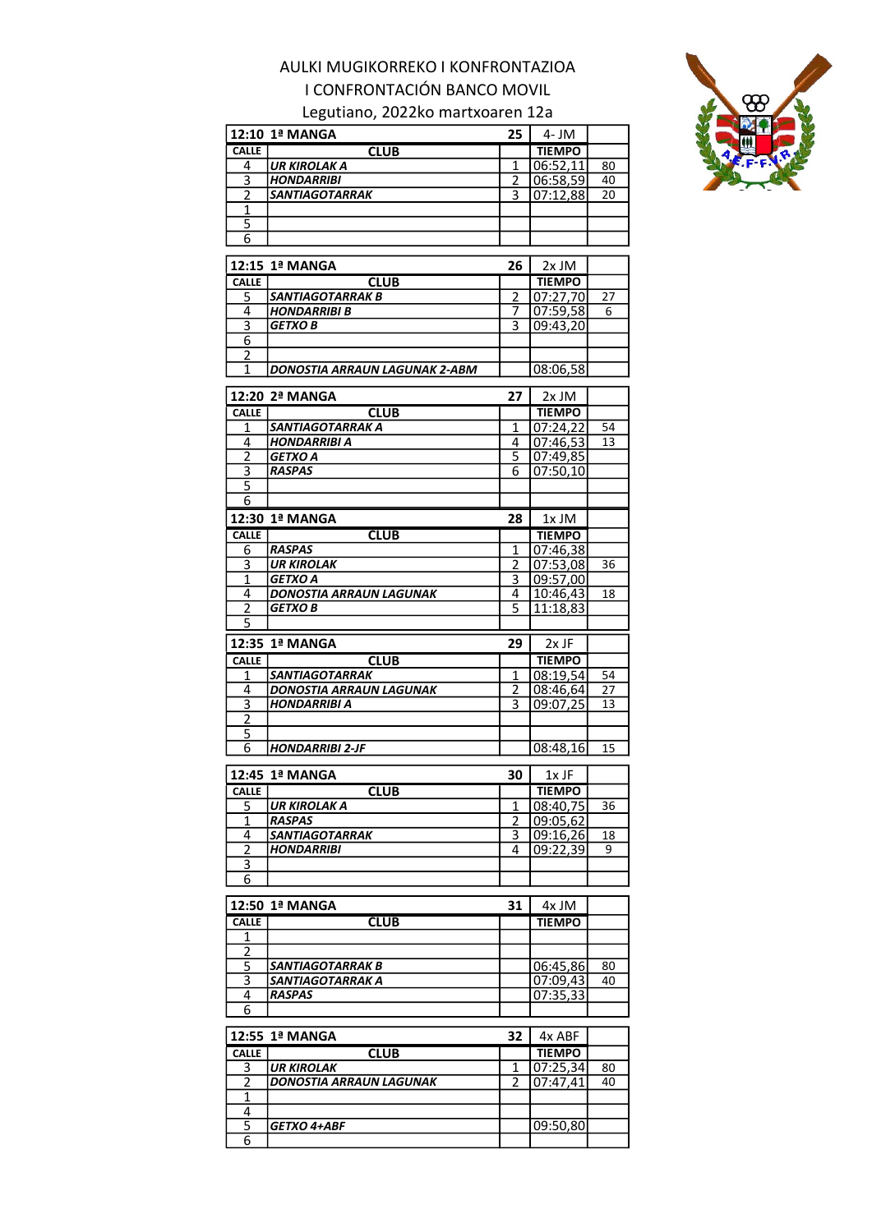